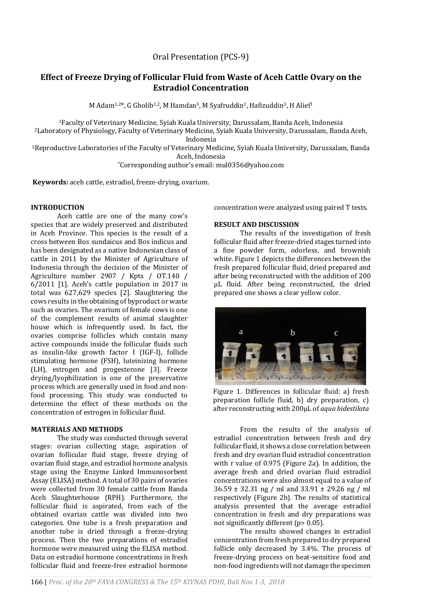Oral Presentation (PCS-9)

# **Effect of Freeze Drying of Follicular Fluid from Waste of Aceh Cattle Ovary on the Estradiol Concentration**

M Adam<sup>1,2\*</sup>, G Gholib<sup>1,2</sup>, M Hamdan<sup>3</sup>, M Syafruddin<sup>1</sup>, Hafizuddin<sup>3</sup>, H Alief<sup>1</sup>

<sup>1</sup>Faculty of Veterinary Medicine, Syiah Kuala University, Darussalam, Banda Aceh, Indonesia <sup>2</sup>Laboratory of Physiology, Faculty of Veterinary Medicine, Syiah Kuala University, Darussalam, Banda Aceh,

Indonesia

<sup>3</sup>Reproductive Laboratories of the Faculty of Veterinary Medicine, Syiah Kuala University, Darussalam, Banda Aceh, Indonesia

\*Corresponding author's email: mul0356@yahoo.com

**Keywords:** aceh cattle, estradiol, freeze-drying, ovarium.

## **INTRODUCTION**

Aceh cattle are one of the many cow's species that are widely preserved and distributed in Aceh Province. This species is the result of a cross between Bos sundaicus and Bos indicus and has been designated as a native Indonesian class of cattle in 2011 by the Minister of Agriculture of Indonesia through the decision of the Minister of Agriculture number 2907 / Kpts / OT.140 / 6/2011 [1]. Aceh's cattle population in 2017 in total was 627,629 species [2]. Slaughtering the cows results in the obtaining of byproduct or waste such as ovaries. The ovarium of female cows is one of the complement results of animal slaughter house which is infrequently used. In fact, the ovaries comprise follicles which contain many active compounds inside the follicular fluids such as insulin-like growth factor I (IGF-I), follicle stimulating hormone (FSH), luteinizing hormone (LH), estrogen and progesterone [3]. Freeze drying/lyophilization is one of the preservative process which are generally used in food and nonfood processing. This study was conducted to determine the effect of these methods on the concentration of estrogen in follicular fluid.

### **MATERIALS AND METHODS**

The study was conducted through several stages: ovarian collecting stage, aspiration of ovarian follicular fluid stage, freeze drying of ovarian fluid stage, and estradiol hormone analysis stage using the Enzyme Linked Immunosorbent Assay (ELISA) method. A total of 30 pairs of ovaries were collected from 30 female cattle from Banda Aceh Slaughterhouse (RPH). Furthermore, the follicular fluid is aspirated, from each of the obtained ovarian cattle was divided into two categories. One tube is a fresh preparation and another tube is dried through a freeze-drying process. Then the two preparations of estradiol hormone were measured using the ELISA method. Data on estradiol hormone concentrations in fresh follicular fluid and freeze-free estradiol hormone

concentration were analyzed using paired T tests.

### **RESULT AND DISCUSSION**

The results of the investigation of fresh follicular fluid after freeze-dried stages turned into a fine powder form, odorless, and brownish white. Figure 1 depicts the differences between the fresh prepared follicular fluid, dried prepared and after being reconstructed with the addition of 200 μL fluid. After being reconstructed, the dried prepared one shows a clear yellow color.



Figure 1. Differences in follicular fluid: a) fresh preparation follicle fluid, b) dry preparation, c) after reconstructing with 200μL of *aqua bidestilata*

From the results of the analysis of estradiol concentration between fresh and dry follicular fluid, it shows a close correlation between fresh and dry ovarian fluid estradiol concentration with r value of 0.975 (Figure 2a). In addition, the average fresh and dried ovarian fluid estradiol concentrations were also almost equal to a value of 36.59 ± 32.31 ng / ml and 33.91 ± 29.26 ng / ml respectively (Figure 2b). The results of statistical analysis presented that the average estradiol concentration in fresh and dry preparations was not significantly different (p> 0.05).

The results showed changes in estradiol concentration from fresh prepared to dry prepared follicle only decreased by 3.4%. The process of freeze-drying process on heat-sensitive food and non-food ingredients will not damage the specimen